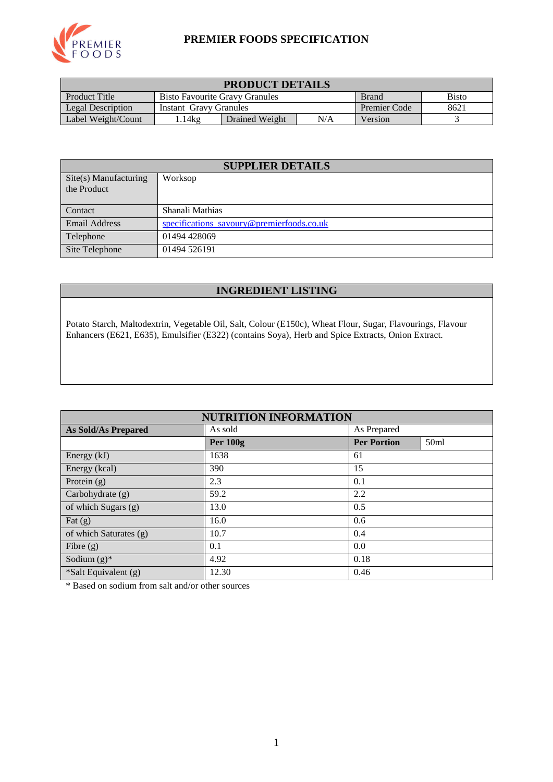

#### **PREMIER FOODS SPECIFICATION**

| <b>PRODUCT DETAILS</b>                                                                 |                                                |  |  |  |  |
|----------------------------------------------------------------------------------------|------------------------------------------------|--|--|--|--|
| Product Title<br><b>Bisto</b><br><b>Bisto Favourite Gravy Granules</b><br><b>Brand</b> |                                                |  |  |  |  |
| Legal Description                                                                      | 8621<br>Premier Code<br>Instant Gravy Granules |  |  |  |  |
| N/A<br>14kg<br>Label Weight/Count<br>Drained Weight<br>Version                         |                                                |  |  |  |  |

| <b>SUPPLIER DETAILS</b>              |                                           |  |  |
|--------------------------------------|-------------------------------------------|--|--|
| Site(s) Manufacturing<br>the Product | Worksop                                   |  |  |
| Contact                              | Shanali Mathias                           |  |  |
| <b>Email Address</b>                 | specifications_savoury@premierfoods.co.uk |  |  |
| Telephone                            | 01494 428069                              |  |  |
| Site Telephone                       | 01494 526191                              |  |  |

## **INGREDIENT LISTING**

Potato Starch, Maltodextrin, Vegetable Oil, Salt, Colour (E150c), Wheat Flour, Sugar, Flavourings, Flavour Enhancers (E621, E635), Emulsifier (E322) (contains Soya), Herb and Spice Extracts, Onion Extract.

| <b>NUTRITION INFORMATION</b> |                        |                                        |  |  |  |
|------------------------------|------------------------|----------------------------------------|--|--|--|
| <b>As Sold/As Prepared</b>   | As Prepared<br>As sold |                                        |  |  |  |
|                              | <b>Per 100g</b>        | 50 <sub>ml</sub><br><b>Per Portion</b> |  |  |  |
| Energy $(kJ)$                | 1638                   | 61                                     |  |  |  |
| Energy (kcal)                | 390                    | 15                                     |  |  |  |
| Protein $(g)$                | 2.3                    | 0.1                                    |  |  |  |
| Carbohydrate $(g)$           | 59.2                   | 2.2                                    |  |  |  |
| of which Sugars (g)          | 13.0                   | 0.5                                    |  |  |  |
| Fat $(g)$                    | 16.0                   | 0.6                                    |  |  |  |
| of which Saturates (g)       | 10.7                   | 0.4                                    |  |  |  |
| Fibre $(g)$                  | 0.1                    | 0.0                                    |  |  |  |
| Sodium $(g)^*$               | 4.92                   | 0.18                                   |  |  |  |
| *Salt Equivalent (g)         | 12.30                  | 0.46                                   |  |  |  |

\* Based on sodium from salt and/or other sources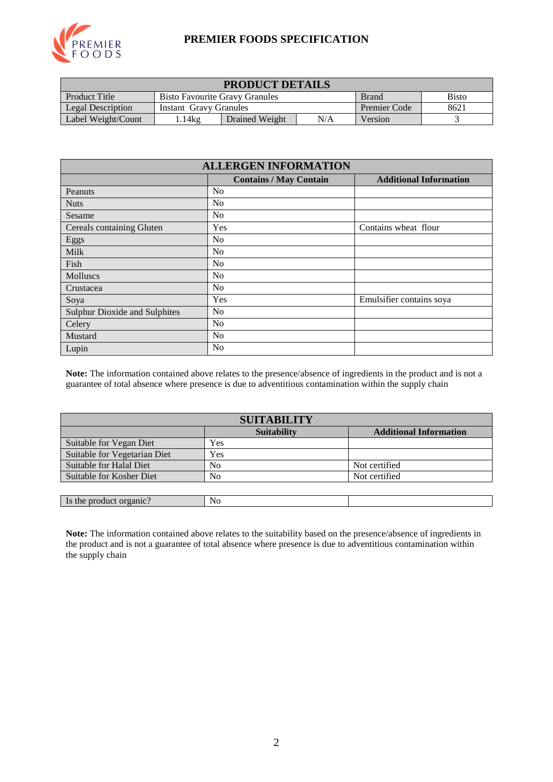

#### **PREMIER FOODS SPECIFICATION**

| <b>PRODUCT DETAILS</b>                                                                        |                                                       |                |     |         |  |
|-----------------------------------------------------------------------------------------------|-------------------------------------------------------|----------------|-----|---------|--|
| <b>Product Title</b><br><b>Bisto</b><br><b>Bisto Favourite Gravy Granules</b><br><b>Brand</b> |                                                       |                |     |         |  |
| Legal Description                                                                             | 8621<br><b>Premier Code</b><br>Instant Gravy Granules |                |     |         |  |
| Label Weight/Count                                                                            | .14kg                                                 | Drained Weight | N/A | Version |  |

| <b>ALLERGEN INFORMATION</b>          |                                                                |                          |  |  |  |  |  |
|--------------------------------------|----------------------------------------------------------------|--------------------------|--|--|--|--|--|
|                                      | <b>Contains / May Contain</b><br><b>Additional Information</b> |                          |  |  |  |  |  |
| Peanuts                              | N <sub>0</sub>                                                 |                          |  |  |  |  |  |
| <b>Nuts</b>                          | N <sub>0</sub>                                                 |                          |  |  |  |  |  |
| Sesame                               | N <sub>o</sub>                                                 |                          |  |  |  |  |  |
| Cereals containing Gluten            | Yes                                                            | Contains wheat flour     |  |  |  |  |  |
| Eggs                                 | N <sub>0</sub>                                                 |                          |  |  |  |  |  |
| Milk                                 | N <sub>0</sub>                                                 |                          |  |  |  |  |  |
| Fish                                 | N <sub>0</sub>                                                 |                          |  |  |  |  |  |
| <b>Molluscs</b>                      | N <sub>0</sub>                                                 |                          |  |  |  |  |  |
| Crustacea                            | N <sub>0</sub>                                                 |                          |  |  |  |  |  |
| Soya                                 | Yes                                                            | Emulsifier contains soya |  |  |  |  |  |
| <b>Sulphur Dioxide and Sulphites</b> | N <sub>0</sub>                                                 |                          |  |  |  |  |  |
| Celery                               | N <sub>0</sub>                                                 |                          |  |  |  |  |  |
| Mustard                              | N <sub>0</sub>                                                 |                          |  |  |  |  |  |
| Lupin                                | N <sub>0</sub>                                                 |                          |  |  |  |  |  |

**Note:** The information contained above relates to the presence/absence of ingredients in the product and is not a guarantee of total absence where presence is due to adventitious contamination within the supply chain

| <b>SUITABILITY</b>           |                    |                               |  |  |
|------------------------------|--------------------|-------------------------------|--|--|
|                              | <b>Suitability</b> | <b>Additional Information</b> |  |  |
| Suitable for Vegan Diet      | Yes                |                               |  |  |
| Suitable for Vegetarian Diet | Yes                |                               |  |  |
| Suitable for Halal Diet      | N <sub>0</sub>     | Not certified                 |  |  |
| Suitable for Kosher Diet     | No                 | Not certified                 |  |  |
|                              |                    |                               |  |  |

**Note:** The information contained above relates to the suitability based on the presence/absence of ingredients in the product and is not a guarantee of total absence where presence is due to adventitious contamination within the supply chain

Is the product organic? No